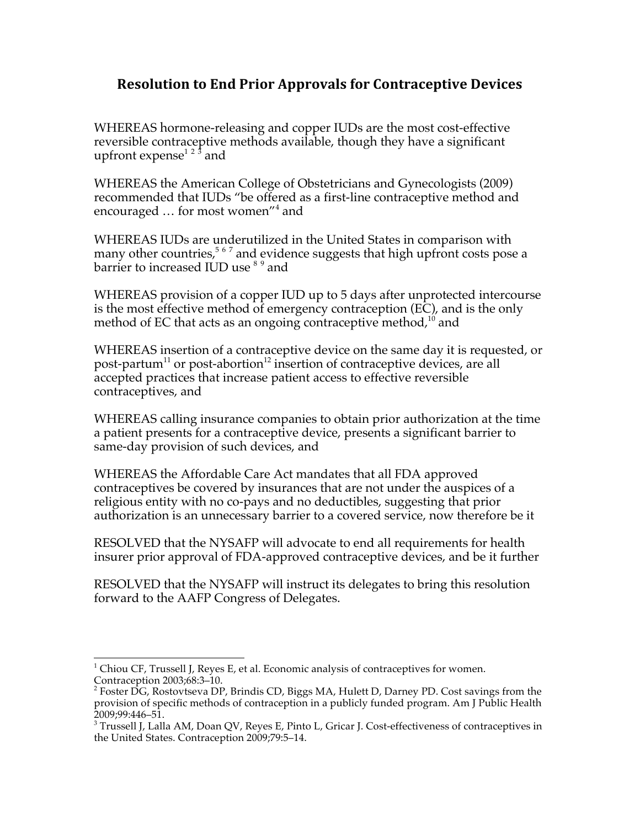## **Resolution to End Prior Approvals for Contraceptive Devices**

WHEREAS hormone-releasing and copper IUDs are the most cost-effective reversible contraceptive methods available, though they have a significant upfront expense<sup>1 2 3</sup> and

WHEREAS the American College of Obstetricians and Gynecologists (2009) recommended that IUDs "be offered as a first-line contraceptive method and encouraged ... for most women"<sup>4</sup> and

WHEREAS IUDs are underutilized in the United States in comparison with many other countries,<sup>567</sup> and evidence suggests that high upfront costs pose a barrier to increased IUD use  $^{\text{8 9}}$  and

WHEREAS provision of a copper IUD up to 5 days after unprotected intercourse is the most effective method of emergency contraception (EC), and is the only method of EC that acts as an ongoing contraceptive method, $10$  and

WHEREAS insertion of a contraceptive device on the same day it is requested, or post-partum<sup>11</sup> or post-abortion<sup>12</sup> insertion of contraceptive devices, are all accepted practices that increase patient access to effective reversible contraceptives, and

WHEREAS calling insurance companies to obtain prior authorization at the time a patient presents for a contraceptive device, presents a significant barrier to same-day provision of such devices, and

WHEREAS the Affordable Care Act mandates that all FDA approved contraceptives be covered by insurances that are not under the auspices of a religious entity with no co-pays and no deductibles, suggesting that prior authorization is an unnecessary barrier to a covered service, now therefore be it

RESOLVED that the NYSAFP will advocate to end all requirements for health insurer prior approval of FDA-approved contraceptive devices, and be it further

RESOLVED that the NYSAFP will instruct its delegates to bring this resolution forward to the AAFP Congress of Delegates.

<sup>&</sup>lt;sup>1</sup> Chiou CF, Trussell J, Reyes E, et al. Economic analysis of contraceptives for women. Contraception 2003;68:3–10.

<sup>&</sup>lt;sup>2</sup> Foster DG, Rostovtseva DP, Brindis CD, Biggs MA, Hulett D, Darney PD. Cost savings from the provision of specific methods of contraception in a publicly funded program. Am J Public Health

 $^{2009;99:446-51}_{3}$ .<br><sup>3</sup> Trussell J, Lalla AM, Doan QV, Reyes E, Pinto L, Gricar J. Cost-effectiveness of contraceptives in the United States. Contraception 2009;79:5–14.